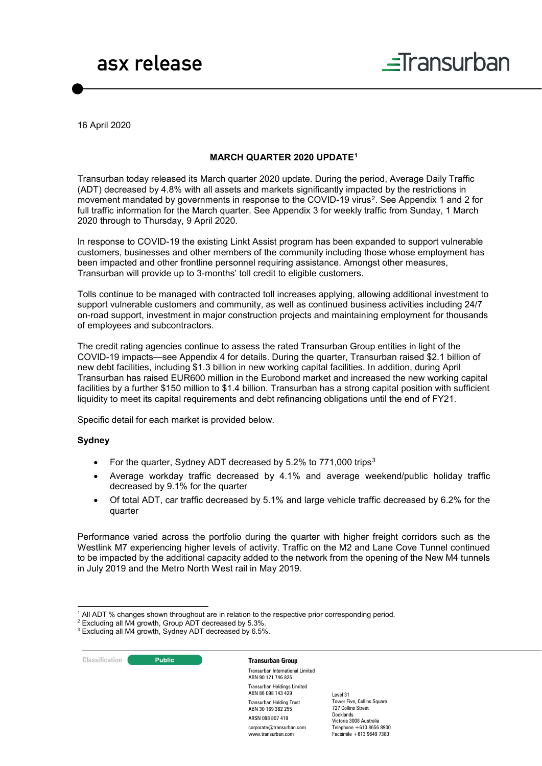# asx release



16 April 2020

### **MARCH QUARTER 2020 UPDATE[1](#page-0-0)**

Transurban today released its March quarter 2020 update. During the period, Average Daily Traffic (ADT) decreased by 4.8% with all assets and markets significantly impacted by the restrictions in movement mandated by governments in response to the COVID-19 virus<sup>[2](#page-0-1)</sup>. See Appendix 1 and 2 for full traffic information for the March quarter. See Appendix 3 for weekly traffic from Sunday, 1 March 2020 through to Thursday, 9 April 2020.

In response to COVID-19 the existing Linkt Assist program has been expanded to support vulnerable customers, businesses and other members of the community including those whose employment has been impacted and other frontline personnel requiring assistance. Amongst other measures, Transurban will provide up to 3-months' toll credit to eligible customers.

Tolls continue to be managed with contracted toll increases applying, allowing additional investment to support vulnerable customers and community, as well as continued business activities including 24/7 on-road support, investment in major construction projects and maintaining employment for thousands of employees and subcontractors.

The credit rating agencies continue to assess the rated Transurban Group entities in light of the COVID-19 impacts—see Appendix 4 for details. During the quarter, Transurban raised \$2.1 billion of new debt facilities, including \$1.3 billion in new working capital facilities. In addition, during April Transurban has raised EUR600 million in the Eurobond market and increased the new working capital facilities by a further \$150 million to \$1.4 billion. Transurban has a strong capital position with sufficient liquidity to meet its capital requirements and debt refinancing obligations until the end of FY21.

Specific detail for each market is provided below.

#### **Sydney**

- For the quarter, Sydney ADT decreased by 5.2% to 771,000 trips[3](#page-0-2)
- Average workday traffic decreased by 4.1% and average weekend/public holiday traffic decreased by 9.1% for the quarter
- Of total ADT, car traffic decreased by 5.1% and large vehicle traffic decreased by 6.2% for the quarter

Performance varied across the portfolio during the quarter with higher freight corridors such as the Westlink M7 experiencing higher levels of activity. Traffic on the M2 and Lane Cove Tunnel continued to be impacted by the additional capacity added to the network from the opening of the New M4 tunnels in July 2019 and the Metro North West rail in May 2019.

# **Classification CLASSIFICATE:** Public **Transurban Group**

Transurban International Limited ABN 90 121 746 825 Transurban Holdings Limited ABN 86 098 143 429 Transurban Holding Trust ABN 30 169 362 255 ARSN 098 807 419 corporate@transurban.com www.transurban.com

 <sup>1</sup> All ADT % changes shown throughout are in relation to the respective prior corresponding period.

<span id="page-0-2"></span><span id="page-0-1"></span><span id="page-0-0"></span> $2$  Excluding all M4 growth, Group ADT decreased by 5.3%.

<sup>3</sup> Excluding all M4 growth, Sydney ADT decreased by 6.5%.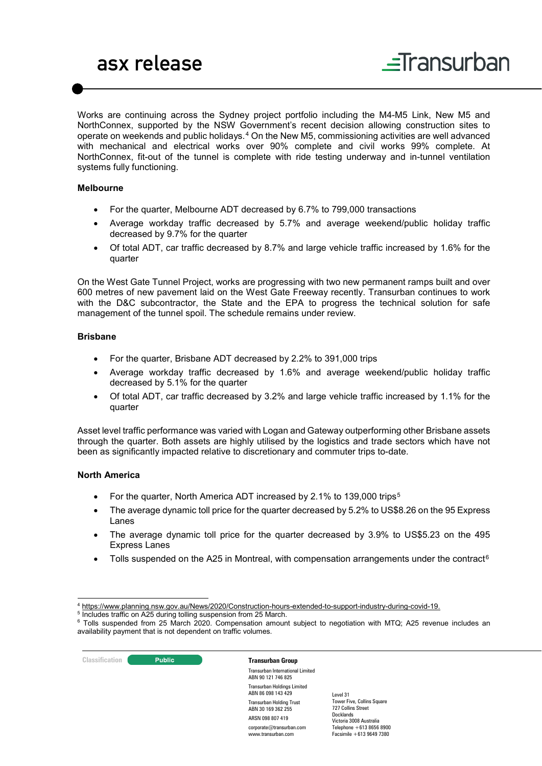# asx release



Works are continuing across the Sydney project portfolio including the M4-M5 Link, New M5 and NorthConnex, supported by the NSW Government's recent decision allowing construction sites to operate on weekends and public holidays.[4](#page-1-0) On the New M5, commissioning activities are well advanced with mechanical and electrical works over 90% complete and civil works 99% complete. At NorthConnex, fit-out of the tunnel is complete with ride testing underway and in-tunnel ventilation systems fully functioning.

### **Melbourne**

- For the quarter, Melbourne ADT decreased by 6.7% to 799,000 transactions
- Average workday traffic decreased by 5.7% and average weekend/public holiday traffic decreased by 9.7% for the quarter
- Of total ADT, car traffic decreased by 8.7% and large vehicle traffic increased by 1.6% for the quarter

On the West Gate Tunnel Project, works are progressing with two new permanent ramps built and over 600 metres of new pavement laid on the West Gate Freeway recently. Transurban continues to work with the D&C subcontractor, the State and the EPA to progress the technical solution for safe management of the tunnel spoil. The schedule remains under review.

### **Brisbane**

- For the quarter, Brisbane ADT decreased by 2.2% to 391,000 trips
- Average workday traffic decreased by 1.6% and average weekend/public holiday traffic decreased by 5.1% for the quarter
- Of total ADT, car traffic decreased by 3.2% and large vehicle traffic increased by 1.1% for the quarter

Asset level traffic performance was varied with Logan and Gateway outperforming other Brisbane assets through the quarter. Both assets are highly utilised by the logistics and trade sectors which have not been as significantly impacted relative to discretionary and commuter trips to-date.

## **North America**

- For the quarter, North America ADT increased by 2.1% to 139,000 trips<sup>[5](#page-1-1)</sup>
- The average dynamic toll price for the quarter decreased by 5.2% to US\$8.26 on the 95 Express Lanes
- The average dynamic toll price for the quarter decreased by 3.9% to US\$5.23 on the 495 Express Lanes
- Tolls suspended on the A25 in Montreal, with compensation arrangements under the contract<sup>[6](#page-1-2)</sup>

<span id="page-1-2"></span><span id="page-1-1"></span><span id="page-1-0"></span><sup>5</sup> Includes traffic on A25 during tolling suspension from 25 March.

#### **Classification Transurban Group** Transurban International Limited ABN 90 121 746 825

Transurban Holdings Limited ABN 86 098 143 429 Transurban Holding Trust ABN 30 169 362 255 ARSN 098 807 419 corporate@transurban.com

www.transurban.com

Tower Five, Collins Square 727 Collins Street Docklands Victoria 3008 Australia Telephone +613 8656 8900 Facsimile +613 9649 7380

Level 31

 <sup>4</sup> [https://www.planning.nsw.gov.au/News/2020/Construction-hours-extended-to-support-industry-during-covid-19.](https://www.planning.nsw.gov.au/News/2020/Construction-hours-extended-to-support-industry-during-covid-19)

<sup>6</sup> Tolls suspended from 25 March 2020. Compensation amount subject to negotiation with MTQ; A25 revenue includes an availability payment that is not dependent on traffic volumes.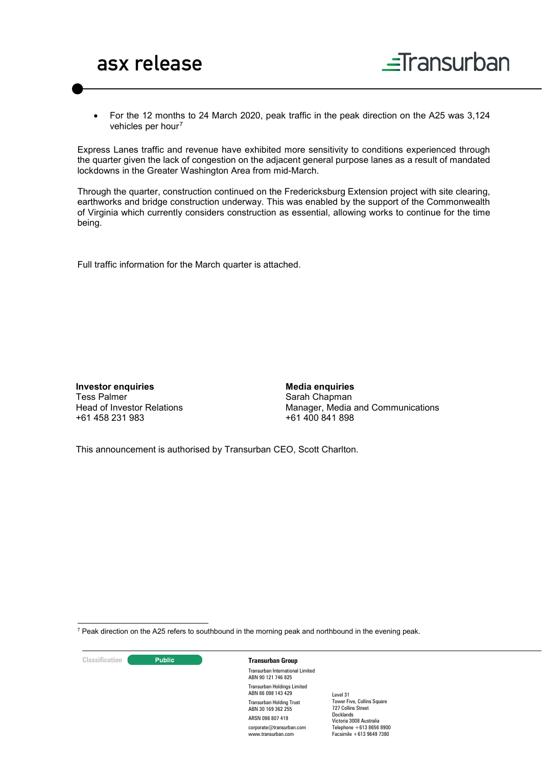



• For the 12 months to 24 March 2020, peak traffic in the peak direction on the A25 was 3,124 vehicles per hour<sup>[7](#page-2-0)</sup>

Express Lanes traffic and revenue have exhibited more sensitivity to conditions experienced through the quarter given the lack of congestion on the adjacent general purpose lanes as a result of mandated lockdowns in the Greater Washington Area from mid-March.

Through the quarter, construction continued on the Fredericksburg Extension project with site clearing, earthworks and bridge construction underway. This was enabled by the support of the Commonwealth of Virginia which currently considers construction as essential, allowing works to continue for the time being.

Full traffic information for the March quarter is attached.

**Investor enquiries** Tess Palmer Head of Investor Relations +61 458 231 983

**Media enquiries** Sarah Chapman Manager, Media and Communications +61 400 841 898

This announcement is authorised by Transurban CEO, Scott Charlton.

<span id="page-2-0"></span> $7$  Peak direction on the A25 refers to southbound in the morning peak and northbound in the evening peak.

**Classification C Transurban Group** 

Transurban International Limited ABN 90 121 746 825 Transurban Holdings Limited ABN 86 098 143 429 Transurban Holding Trust ABN 30 169 362 255 ARSN 098 807 419 corporate@transurban.com www.transurban.com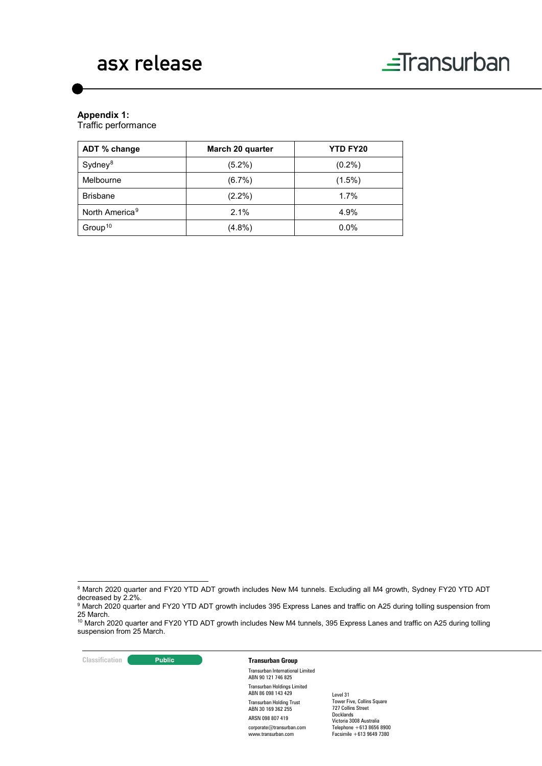

# **Appendix 1:**

Traffic performance

| ADT % change               | March 20 quarter | <b>YTD FY20</b> |
|----------------------------|------------------|-----------------|
| Sydney <sup>8</sup>        | $(5.2\%)$        | $(0.2\%)$       |
| Melbourne                  | $(6.7\%)$        | $(1.5\%)$       |
| <b>Brisbane</b>            | $(2.2\%)$        | 1.7%            |
| North America <sup>9</sup> | 2.1%             | 4.9%            |
| Group <sup>10</sup>        | $(4.8\%)$        | 0.0%            |

**Classification Transurban Group** 

# Transurban International Limited ABN 90 121 746 825

Transurban Holdings Limited ABN 86 098 143 429 Transurban Holding Trust ABN 30 169 362 255 ARSN 098 807 419 corporate@transurban.com www.transurban.com

<span id="page-3-0"></span><sup>&</sup>lt;sup>8</sup> March 2020 quarter and FY20 YTD ADT growth includes New M4 tunnels. Excluding all M4 growth, Sydney FY20 YTD ADT decreased by 2.2%.

<span id="page-3-1"></span><sup>9</sup> March 2020 quarter and FY20 YTD ADT growth includes 395 Express Lanes and traffic on A25 during tolling suspension from 25 March.<br><sup>10</sup> March 2020 quarter and FY20 YTD ADT growth includes New M4 tunnels, 395 Express Lanes and traffic on A25 during tolling

<span id="page-3-2"></span>suspension from 25 March.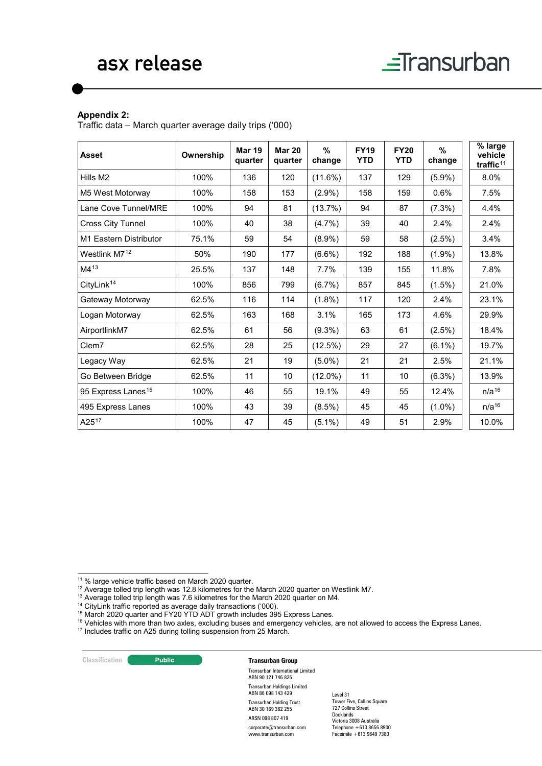## **Appendix 2:**

Traffic data – March quarter average daily trips ('000)

| <b>Asset</b>                   | Ownership | <b>Mar 19</b><br>quarter | <b>Mar 20</b><br>quarter | $\frac{9}{6}$<br>change | <b>FY19</b><br><b>YTD</b> | <b>FY20</b><br><b>YTD</b> | $\%$<br>change | % large<br>vehicle<br>traffic <sup>11</sup> |  |
|--------------------------------|-----------|--------------------------|--------------------------|-------------------------|---------------------------|---------------------------|----------------|---------------------------------------------|--|
| Hills M2                       | 100%      | 136                      | 120                      | (11.6%)                 | 137                       | 129                       | $(5.9\%)$      | 8.0%                                        |  |
| M5 West Motorway               | 100%      | 158                      | 153                      | $(2.9\%)$               | 158                       | 159                       | 0.6%           | 7.5%                                        |  |
| Lane Cove Tunnel/MRE           | 100%      | 94                       | 81                       | (13.7%)                 | 94                        | 87                        | $(7.3\%)$      | 4.4%                                        |  |
| Cross City Tunnel              | 100%      | 40                       | 38                       | $(4.7\%)$               | 39                        | 40                        | 2.4%           | 2.4%                                        |  |
| M1 Eastern Distributor         | 75.1%     | 59                       | 54                       | $(8.9\%)$               | 59                        | 58                        | $(2.5\%)$      | 3.4%                                        |  |
| Westlink M7 <sup>12</sup>      | 50%       | 190                      | 177                      | $(6.6\%)$               | 192                       | 188                       | $(1.9\%)$      | 13.8%                                       |  |
| M413                           | 25.5%     | 137                      | 148                      | 7.7%                    | 139                       | 155                       | 11.8%          | 7.8%                                        |  |
| CityLink <sup>14</sup>         | 100%      | 856                      | 799                      | (6.7%)                  | 857                       | 845                       | $(1.5\%)$      | 21.0%                                       |  |
| Gateway Motorway               | 62.5%     | 116                      | 114                      | $(1.8\%)$               | 117                       | 120                       | 2.4%           | 23.1%                                       |  |
| Logan Motorway                 | 62.5%     | 163                      | 168                      | 3.1%                    | 165                       | 173                       | 4.6%           | 29.9%                                       |  |
| AirportlinkM7                  | 62.5%     | 61                       | 56                       | $(9.3\%)$               | 63                        | 61                        | $(2.5\%)$      | 18.4%                                       |  |
| Clem7                          | 62.5%     | 28                       | 25                       | (12.5%)                 | 29                        | 27                        | $(6.1\%)$      | 19.7%                                       |  |
| Legacy Way                     | 62.5%     | 21                       | 19                       | $(5.0\%)$               | 21                        | 21                        | 2.5%           | 21.1%                                       |  |
| Go Between Bridge              | 62.5%     | 11                       | 10                       | $(12.0\%)$              | 11                        | 10                        | (6.3%)         | 13.9%                                       |  |
| 95 Express Lanes <sup>15</sup> | 100%      | 46                       | 55                       | 19.1%                   | 49                        | 55                        | 12.4%          | $n/a^{16}$                                  |  |
| 495 Express Lanes              | 100%      | 43                       | 39                       | $(8.5\%)$               | 45                        | 45                        | $(1.0\%)$      | $n/a^{16}$                                  |  |
| A2517                          | 100%      | 47                       | 45                       | $(5.1\%)$               | 49                        | 51                        | 2.9%           | 10.0%                                       |  |

- <sup>12</sup> Average tolled trip length was 12.8 kilometres for the March 2020 quarter on Westlink M7.
- <span id="page-4-2"></span><sup>13</sup> Average tolled trip length was 7.6 kilometres for the March 2020 quarter on M4.
- <span id="page-4-3"></span><sup>14</sup> CityLink traffic reported as average daily transactions ('000).

<span id="page-4-4"></span><sup>15</sup> March 2020 quarter and FY20 YTD ADT growth includes 395 Express Lanes.

<span id="page-4-5"></span><sup>16</sup> Vehicles with more than two axles, excluding buses and emergency vehicles, are not allowed to access the Express Lanes.

<span id="page-4-6"></span><sup>17</sup> Includes traffic on A25 during tolling suspension from 25 March.

## **Classification Transurban Group**

Transurban International Limited ABN 90 121 746 825 Transurban Holdings Limited ABN 86 098 143 429 Transurban Holding Trust ABN 30 169 362 255 ARSN 098 807 419 corporate@transurban.com

www.transurban.com

<span id="page-4-1"></span><span id="page-4-0"></span> <sup>11</sup> % large vehicle traffic based on March 2020 quarter.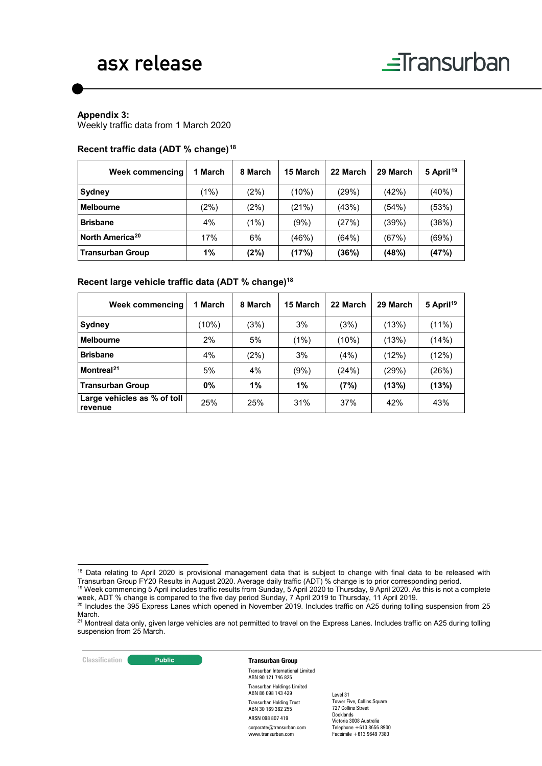# asx release

#### **Appendix 3:**

Weekly traffic data from 1 March 2020

#### **Recent traffic data (ADT % change)[18](#page-5-0)**

| Week commencing             | 1 March | 8 March | 15 March | 22 March | 29 March | 5 April <sup>19</sup> |
|-----------------------------|---------|---------|----------|----------|----------|-----------------------|
| Sydney                      | (1%)    | (2%)    | (10%)    | (29%)    | (42%)    | (40%)                 |
| <b>Melbourne</b>            | (2%)    | (2%)    | (21%)    | (43%)    | (54%)    | (53%)                 |
| <b>Brisbane</b>             | 4%      | (1%)    | (9%)     | (27%)    | (39%)    | (38%)                 |
| North America <sup>20</sup> | 17%     | 6%      | (46%)    | (64%)    | (67%)    | (69%)                 |
| <b>Transurban Group</b>     | 1%      | (2%)    | (17%)    | (36%)    | (48%)    | (47%)                 |

## **Recent large vehicle traffic data (ADT % change)18**

| Week commencing                        | 1 March | 8 March | 15 March | 22 March | 29 March | 5 April <sup>19</sup> |
|----------------------------------------|---------|---------|----------|----------|----------|-----------------------|
| Sydney                                 | (10%)   | (3%)    | 3%       | (3%)     | (13%)    | $(11\%)$              |
| <b>Melbourne</b>                       | 2%      | 5%      | (1%)     | (10%)    | (13%)    | (14%)                 |
| <b>Brisbane</b>                        | 4%      | (2%)    | 3%       | (4%)     | (12%)    | (12%)                 |
| Montreal <sup>21</sup>                 | 5%      | 4%      | (9%)     | (24%)    | (29%)    | (26%)                 |
| <b>Transurban Group</b>                | $0\%$   | 1%      | 1%       | (7%)     | (13%)    | (13%)                 |
| Large vehicles as % of toll<br>revenue | 25%     | 25%     | 31%      | 37%      | 42%      | 43%                   |

#### **Classification Transurban Group**

Transurban International Limited ABN 90 121 746 825 Transurban Holdings Limited ABN 86 098 143 429 Transurban Holding Trust ABN 30 169 362 255 ARSN 098 807 419 corporate@transurban.com www.transurban.com

<span id="page-5-0"></span> <sup>18</sup> Data relating to April 2020 is provisional management data that is subject to change with final data to be released with Transurban Group FY20 Results in August 2020. Average daily traffic (ADT) % change is to prior corresponding period.

<span id="page-5-1"></span> $^{19}$  Week commencing 5 April includes traffic results from Sunday, 5 April 2020 to Thursday, 9 April 2020. As this is not a complete week, ADT % change is compared to the five day period Sunday, 7 April 2019 to Thursday, 11 April 2019.

<span id="page-5-2"></span><sup>20</sup> Includes the 395 Express Lanes which opened in November 2019. Includes traffic on A25 during tolling suspension from 25 March.

<span id="page-5-3"></span><sup>&</sup>lt;sup>21</sup> Montreal data only, given large vehicles are not permitted to travel on the Express Lanes. Includes traffic on A25 during tolling suspension from 25 March.